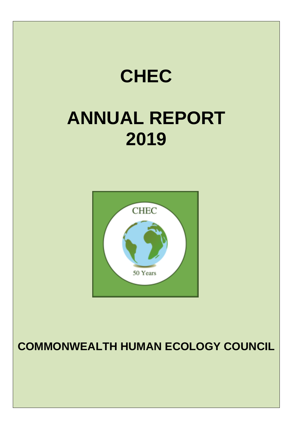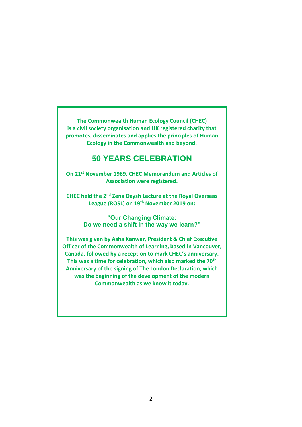**The Commonwealth Human Ecology Council (CHEC) is a civil society organisation and UK registered charity that promotes, disseminates and applies the principles of Human Ecology in the Commonwealth and beyond.**

# **50 YEARS CELEBRATION**

**On 21st November 1969, CHEC Memorandum and Articles of Association were registered.** 

**CHEC held the 2nd Zena Daysh Lecture at the Royal Overseas League (ROSL) on 19th November 2019 on:**

> **"Our Changing Climate: Do we need a shift in the way we learn?"**

**This was given by Asha Kanwar, President & Chief Executive Officer of the Commonwealth of Learning, based in Vancouver, Canada, followed by a reception to mark CHEC's anniversary. This was a time for celebration, which also marked the 70th Anniversary of the signing of The London Declaration, which was the beginning of the development of the modern Commonwealth as we know it today.**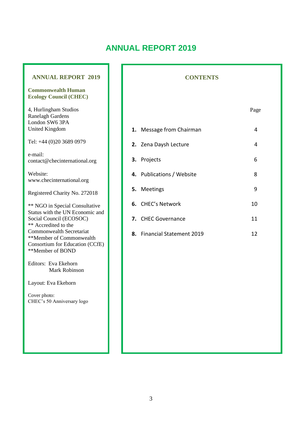# **ANNUAL REPORT 2019**

#### **ANNUAL REPORT 2019**

#### **Commonwealth Human Ecology Council (CHEC)**

4, Hurlingham Studios Ranelagh Gardens London SW6 3PA United Kingdom

Tel: +44 (0)20 3689 0979

e-mail: contact@checinternational.org

Website: www.checinternational.org

Registered Charity No. 272018

\*\* NGO in Special Consultative Status with the UN Economic and Social Council (ECOSOC) \*\* Accredited to the Commonwealth Secretariat \*\*Member of Commonwealth Consortium for Education (CCfE) \*\*Member of BOND

Editors: Eva Ekehorn Mark Robinson

Layout: Eva Ekehorn

Cover photo: CHEC's 50 Anniversary logo

#### **CONTENTS**

#### Page

| 1. Message from Chairman  | 4  |
|---------------------------|----|
| 2. Zena Daysh Lecture     | 4  |
| 3. Projects               | 6  |
| 4. Publications / Website | 8  |
| 5. Meetings               | 9  |
| 6. CHEC's Network         | 10 |
| 7. CHEC Governance        | 11 |
|                           |    |

**8.** Financial Statement 2019 **12**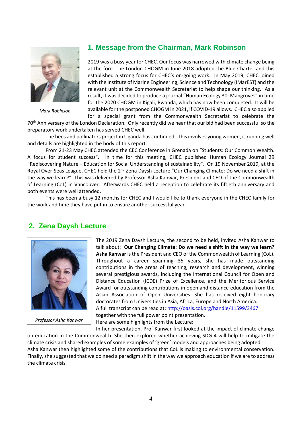

*Mark Robinson*

#### **1. Message from the Chairman, Mark Robinson**

2019 was a busy year for CHEC. Our focus was narrowed with climate change being at the fore. The London CHOGM in June 2018 adopted the Blue Charter and this established a strong focus for CHEC's on-going work. In May 2019, CHEC joined with the Institute of Marine Engineering, Science and Technology (IMarEST) and the relevant unit at the Commonwealth Secretariat to help shape our thinking. As a result, it was decided to produce a journal "Human Ecology 30: Mangroves" in time for the 2020 CHOGM in Kigali, Rwanda, which has now been completed. It will be available for the postponed CHOGM in 2021, if COVID-19 allows. CHEC also applied

for a special grant from the Commonwealth Secretariat to celebrate the 70<sup>th</sup> Anniversary of the London Declaration. Only recently did we hear that our bid had been successful so the preparatory work undertaken has served CHEC well.

The bees and pollinators project in Uganda has continued. This involves young women, is running well and details are highlighted in the body of this report.

From 21-23 May CHEC attended the CEC Conference in Grenada on "Students: Our Common Wealth. A focus for student success". In time for this meeting, CHEC published Human Ecology Journal 29 "Rediscovering Nature – Education for Social Understanding of sustainability". On 19 November 2019, at the Royal Over-Seas League, CHEC held the 2<sup>nd</sup> Zena Daysh Lecture "Our Changing Climate: Do we need a shift in the way we learn?" This was delivered by Professor Asha Kanwar, President and CEO of the Commonwealth of Learning (CoL) in Vancouver. Afterwards CHEC held a reception to celebrate its fiftieth anniversary and both events were well attended.

This has been a busy 12 months for CHEC and I would like to thank everyone in the CHEC family for the work and time they have put in to ensure another successful year.

### .**2. Zena Daysh Lecture**



*Professor Asha Kanwar*

The 2019 Zena Daysh Lecture, the second to be held, invited Asha Kanwar to talk about: **Our Changing Climate: Do we need a shift in the way we learn? Asha Kanwar** is the President and CEO of the Commonwealth of Learning (CoL). Throughout a career spanning 35 years, she has made outstanding contributions in the areas of teaching, research and development, winning several prestigious awards, including the International Council for Open and Distance Education (ICDE) Prize of Excellence, and the Meritorious Service Award for outstanding contributions in open and distance education from the Asian Association of Open Universities. She has received eight honorary doctorates from Universities in Asia, Africa, Europe and North America. A full transcript can be read at:<http://oasis.col.org/handle/11599/3467> together with the full power point presentation.

Here are some highlights from the Lecture:

In her presentation, Prof Kanwar first looked at the impact of climate change on education in the Commonwealth. She then explored whether achieving SDG 4 will help to mitigate the climate crisis and shared examples of some examples of 'green' models and approaches being adopted. Asha Kanwar then highlighted some of the contributions that CoL is making to environmental conservation. Finally, she suggested that we do need a paradigm shift in the way we approach education if we are to address the climate crisis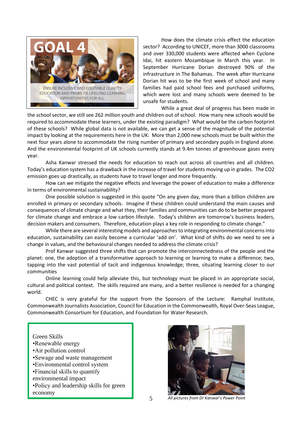

How does the climate crisis effect the education sector? According to UNICEF, more than 3000 classrooms and over 330,000 students were affected when Cyclone Idai, hit eastern Mozambique in March this year. In September Hurricane Dorian destroyed 90% of the infrastructure in The Bahamas. The week after Hurricane Dorian hit was to be the first week of school and many families had paid school fees and purchased uniforms, which were lost and many schools were deemed to be unsafe for students.

While a great deal of progress has been made in

the school sector, we still see 262 million youth and children out of school. How many new schools would be required to accommodate these learners, under the existing paradigm? What would be the carbon footprint of these schools? While global data is not available, we can get a sense of the magnitude of the potential impact by looking at the requirements here in the UK: More than 2,000 new schools must be built within the next four years alone to accommodate the rising number of primary and secondary pupils in England alone. And the environmental footprint of UK schools currently stands at 9.4m tonnes of greenhouse gases every year.

Asha Kanwar stressed the needs for education to reach out across all countries and all children. Today's education system has a drawback in the increase of travel for students moving up in grades. The CO2 emission goes up drastically, as students have to travel longer and more frequently.

How can we mitigate the negative effects and leverage the power of education to make a difference in terms of environmental sustainability?

One possible solution is suggested in this quote "On any given day, more than a billion children are enrolled in primary or secondary schools. Imagine if these children could understand the main causes and consequences of climate change and what they, their families and communities can do to be better prepared for climate change and embrace a low carbon lifestyle. Today's children are tomorrow's business leaders, decision makers and consumers. Therefore, education plays a key role in responding to climate change."

While there are several interesting models and approaches to integrating environmental concerns into education, sustainability can easily become a curricular 'add on'. What kind of shifts do we need to see a change in values, and the behavioural changes needed to address the climate crisis?

Prof Kanwar suggested three shifts that can promote the interconnectedness of the people and the planet: one, the adoption of a transformative approach to learning or learning to make a difference; two, tapping into the vast potential of tacit and indigenous knowledge; three, situating learning closer to our communities

Online learning could help alleviate this, but technology must be placed in an appropriate social, cultural and political context. The skills required are many, and a better resilience is needed for a changing world.

CHEC is very grateful for the support from the Sponsors of the Lecture: Ramphal Institute, Commonwealth Journalists Association, Council for Education in the Commonwealth, Royal Over-Seas League, Commonwealth Consortium for Education, and Foundation for Water Research.

#### Green Skills

- •Renewable energy
- •Air pollution control
- •Sewage and waste management
- •Environmental control system
- •Financial skills to quantify
- environmental impact
- •Policy and leadership skills for green economy

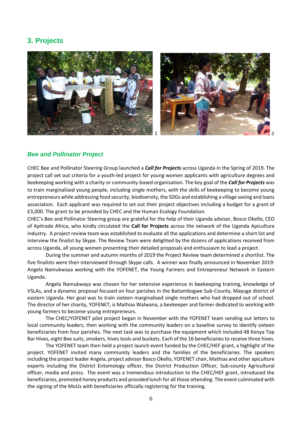## **3. Projects**



#### *Bee and Pollinator Project*

CHEC Bee and Pollinator Steering Group launched a *Call for Projects* across Uganda in the Spring of 2019. The project call set out criteria for a youth-led project for young women applicants with agriculture degrees and beekeeping working with a charity or community-based organisation. The key goal of the *Call for Projects* was to train marginalised young people, including single mothers, with the skills of beekeeping to become young entrepreneurs while addressing food security, biodiversity, the SDGs and establishing a village saving and loans association. Each applicant was required to set out their project objectives including a budget for a grant of £3,000. The grant to be provided by CHEC and the Human Ecology Foundation.

CHEC's Bee and Pollinator Steering group are grateful for the help of their Uganda advisor, Bosco Okello, CEO of Apitrade Africa, who kindly circulated the **Call for Projects** across the network of the Uganda Apiculture industry. A project review team was established to evaluate all the applications and determine a short list and interview the finalist by Skype. The Review Team were delighted by the dozens of applications received from across Uganda, all young women presenting their detailed proposals and enthusiasm to lead a project.

During the summer and autumn months of 2019 the Project Review team determined a shortlist. The five finalists were then interviewed through Skype calls. A winner was finally announced in November 2019: Angela Namukwaya working with the YOFENET, the Young Farmers and Entrepreneur Network in Eastern Uganda.

Angela Namukwaya was chosen for her extensive experience in beekeeping training, knowledge of VSLAs, and a dynamic proposal focused on four parishes in the Baitambogwe Sub-County, Mayuge district of eastern Uganda. Her goal was to train sixteen marginalised single mothers who had dropped out of school. The director of her charity, YOFENET, is Mathias Walwana, a beekeeper and farmer dedicated to working with young farmers to become young entrepreneurs.

The CHEC/YOFENET pilot project began in November with the YOFENET team sending out letters to local community leaders, then working with the community leaders on a baseline survey to identify sixteen beneficiaries from four parishes. The next task was to purchase the equipment which included 48 Kenya Top Bar Hives, eight Bee suits, smokers, hives tools and buckets. Each of the 16 beneficiaries to receive three hives.

The YOFENET team then held a project launch event funded by the CHEC/HEF grant, a highlight of the project. YOFENET invited many community leaders and the families of the beneficiaries. The speakers including the project leader Angela, project advisor Bosco Okello, YOFENET chair, Mathias and other apiculture experts including the District Entomology officer, the District Production Officer, Sub-county Agricultural officer, media and press. The event was a tremendous introduction to the CHEC/HEF grant, introduced the beneficiaries, promoted honey products and provided lunch for all those attending. The event culminated with the signing of the MoUs with beneficiaries officially registering for the training.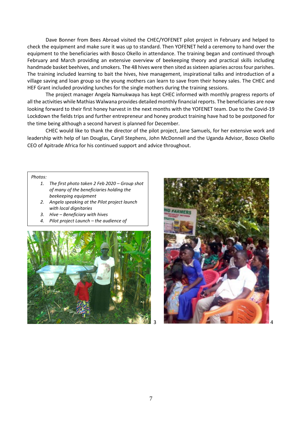Dave Bonner from Bees Abroad visited the CHEC/YOFENET pilot project in February and helped to check the equipment and make sure it was up to standard. Then YOFENET held a ceremony to hand over the equipment to the beneficiaries with Bosco Okello in attendance. The training began and continued through February and March providing an extensive overview of beekeeping theory and practical skills including handmade basket beehives, and smokers. The 48 hives were then sited as sixteen apiaries across four parishes. The training included learning to bait the hives, hive management, inspirational talks and introduction of a village saving and loan group so the young mothers can learn to save from their honey sales. The CHEC and HEF Grant included providing lunches for the single mothers during the training sessions.

The project manager Angela Namukwaya has kept CHEC informed with monthly progress reports of all the activities while Mathias Walwana provides detailed monthly financial reports. The beneficiaries are now looking forward to their first honey harvest in the next months with the YOFENET team. Due to the Covid-19 Lockdown the fields trips and further entrepreneur and honey product training have had to be postponed for the time being although a second harvest is planned for December.

CHEC would like to thank the director of the pilot project, Jane Samuels, for her extensive work and leadership with help of Ian Douglas, Caryll Stephens, John McDonnell and the Uganda Advisor, Bosco Okello CEO of Apitrade Africa for his continued support and advice throughout.

*Photos:*

- *1. The first photo taken 2 Feb 2020 – Group shot of many of the beneficiaries holding the beekeeping equipment*
- *2. Angela speaking at the Pilot project launch with local dignitaries*
- *3. Hive – Beneficiary with hives*
- *4. Pilot project Launch – the audience of*



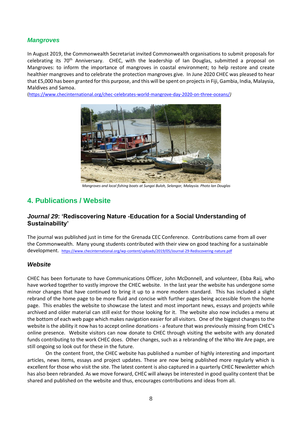#### *Mangroves*

In August 2019, the Commonwealth Secretariat invited Commonwealth organisations to submit proposals for celebrating its 70<sup>th</sup> Anniversary. CHEC, with the leadership of Ian Douglas, submitted a proposal on Mangroves: to inform the importance of mangroves in coastal environment; to help restore and create healthier mangroves and to celebrate the protection mangroves give. In June 2020 CHEC was pleased to hear that £5,000 has been granted for this purpose, and this will be spent on projects in Fiji, Gambia, India, Malaysia, Maldives and Samoa.

[\(https://www.checinternational.org/chec-celebrates-world-mangrove-day-2020-on-three-oceans/](https://www.checinternational.org/chec-celebrates-world-mangrove-day-2020-on-three-oceans/)*)*



*Mangroves and local fishing boats at Sungai Buloh, Selangor, Malaysia. Photo Ian Douglas*

# **4. Publications / Website**

#### *Journal 29***: 'Rediscovering Nature -Education for a Social Understanding of Sustainability'**

The journal was published just in time for the Grenada CEC Conference. Contributions came from all over the Commonwealth. Many young students contributed with their view on good teaching for a sustainable development. <https://www.checinternational.org/wp-content/uploads/2019/05/Journal-29-Rediscovering-nature.pdf>

#### *Website*

CHEC has been fortunate to have Communications Officer, John McDonnell, and volunteer, Ebba Raij, who have worked together to vastly improve the CHEC website. In the last year the website has undergone some minor changes that have continued to bring it up to a more modern standard. This has included a slight rebrand of the home page to be more fluid and concise with further pages being accessible from the home page. This enables the website to showcase the latest and most important news, essays and projects while archived and older material can still exist for those looking for it. The website also now includes a menu at the bottom of each web page which makes navigation easier for all visitors. One of the biggest changes to the website is the ability it now has to accept online donations - a feature that was previously missing from CHEC's online presence. Website visitors can now donate to CHEC through visiting the website with any donated funds contributing to the work CHEC does. Other changes, such as a rebranding of the Who We Are page, are still ongoing so look out for these in the future.

On the content front, the CHEC website has published a number of highly interesting and important articles, news items, essays and project updates. These are now being published more regularly which is excellent for those who visit the site. The latest content is also captured in a quarterly CHEC Newsletter which has also been rebranded. As we move forward, CHEC will always be interested in good quality content that be shared and published on the website and thus, encourages contributions and ideas from all.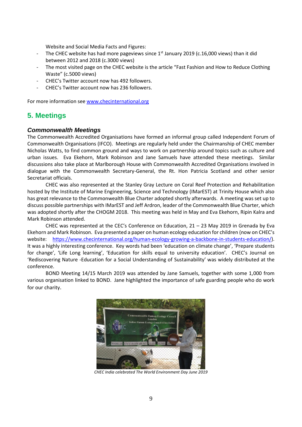Website and Social Media Facts and Figures:

- The CHEC website has had more pageviews since  $1<sup>st</sup>$  January 2019 (c.16,000 views) than it did between 2012 and 2018 (c.3000 views)
- The most visited page on the CHEC website is the article "Fast Fashion and How to Reduce Clothing Waste" (c.5000 views)
- CHEC's Twitter account now has 492 followers.
- CHEC's Twitter account now has 236 followers.

For more information see [www.checinternational.org](https://nam02.safelinks.protection.outlook.com/?url=http%3A%2F%2Fwww.checinternational.org&data=02%7C01%7C%7C53fbff3768ca4294f92f08d6ecfc79e6%7C84df9e7fe9f640afb435aaaaaaaaaaaa%7C1%7C0%7C636956966451722641&sdata=OkCT5gjKwZkRCgHSrSmPDHhCjWWBSBT%2FWsKKSmo%2FdG0%3D&reserved=0)

# **5. Meetings**

#### *Commonwealth Meetings*

The Commonwealth Accredited Organisations have formed an informal group called Independent Forum of Commonwealth Organisations (IFCO). Meetings are regularly held under the Chairmanship of CHEC member Nicholas Watts, to find common ground and ways to work on partnership around topics such as culture and urban issues. Eva Ekehorn, Mark Robinson and Jane Samuels have attended these meetings. Similar discussions also take place at Marlborough House with Commonwealth Accredited Organisations involved in dialogue with the Commonwealth Secretary-General, the Rt. Hon Patricia Scotland and other senior Secretariat officials.

CHEC was also represented at the Stanley Gray Lecture on Coral Reef Protection and Rehabilitation hosted by the Institute of Marine Engineering, Science and Technology (IMarEST) at Trinity House which also has great relevance to the Commonwealth Blue Charter adopted shortly afterwards. A meeting was set up to discuss possible partnerships with IMarEST and Jeff Ardron, leader of the Commonwealth Blue Charter, which was adopted shortly after the CHOGM 2018. This meeting was held in May and Eva Ekehorn, Ripin Kalra and Mark Robinson attended.

CHEC was represented at the CEC's Conference on Education, 21 – 23 May 2019 in Grenada by Eva Ekehorn and Mark Robinson. Eva presented a paper on human ecology education for children (now on CHEC's website: [https://www.checinternational.org/human-ecology-growing-a-backbone-in-students-education/\)](https://www.checinternational.org/human-ecology-growing-a-backbone-in-students-education/). It was a highly interesting conference. Key words had been 'education on climate change', 'Prepare students for change', 'Life Long learning', 'Education for skills equal to university education'. CHEC's Journal on 'Rediscovering Nature -Education for a Social Understanding of Sustainability' was widely distributed at the conference.

BOND Meeting 14/15 March 2019 was attended by Jane Samuels, together with some 1,000 from various organisation linked to BOND. Jane highlighted the importance of safe guarding people who do work for our charity.



*CHEC India celebrated The World Environment Day June 2019*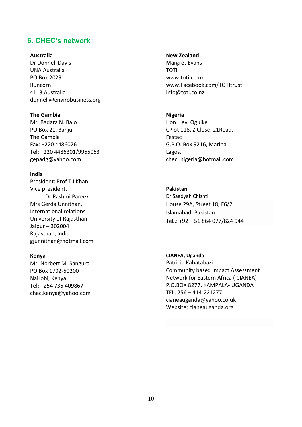### **6. CHEC's network**

#### **Australia**

Dr Donnell Davis UNA Australia PO Box 2029 Runcorn 4113 Australia donnell@envirobusiness.org

#### **The Gambia**

Mr. Badara N. Bajo PO Box 21, Banjul The Gambia Fax: +220 4486026 Tel: +220 4486301/9955063 gepadg@yahoo.com

#### **India**

President: Prof T I Khan Vice president, Dr Rashmi Pareek Mrs Gerda Unnithan, International relations University of Rajasthan Jaipur – 302004 Rajasthan, India gjunnithan@hotmail.com

#### **Kenya**

Mr. Norbert M. Sangura PO Box 1702-50200 Nairobi, Kenya Tel: +254 735 409867 chec.kenya@yahoo.com

#### **New Zealand**

Margret Evans TOTI www.toti.co.nz www.Facebook.com/TOTItrust info@toti.co.nz

#### **Nigeria**

Hon. Levi Oguike CPlot 118, Z Close, 21Road, Festac G.P.O. Box 9216, Marina Lagos. chec\_nigeria@hotmail.com

#### **Pakistan**

Dr Saadyah Chishti House 29A, Street 18, F6/2 Islamabad, Pakistan TeL.: +92 – 51 864 077/824 944

#### **CIANEA, Uganda** Patricia Kabatabazi

Community based Impact Assessment Network for Eastern Africa ( CIANEA) P.O.BOX 8277, KAMPALA- UGANDA TEL. 256 – 414-221277 cianeauganda@yahoo.co.uk Website: cianeauganda.org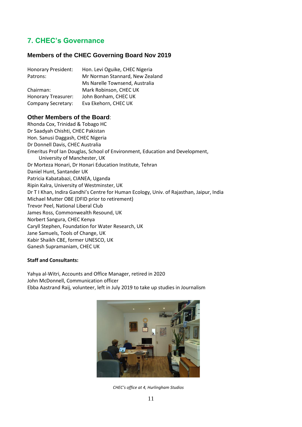# **7. CHEC's Governance**

#### **Members of the CHEC Governing Board Nov 2019**

| Honorary President:       | Hon. Levi Oguike, CHEC Nigeria  |
|---------------------------|---------------------------------|
| Patrons:                  | Mr Norman Stannard, New Zealand |
|                           | Ms Narelle Townsend, Australia  |
| Chairman:                 | Mark Robinson, CHEC UK          |
| Honorary Treasurer:       | John Bonham, CHEC UK            |
| <b>Company Secretary:</b> | Eva Ekehorn, CHEC UK            |

#### **Other Members of the Board**:

Rhonda Cox, Trinidad & Tobago HC Dr Saadyah Chishti, CHEC Pakistan Hon. Sanusi Daggash, CHEC Nigeria Dr Donnell Davis, CHEC Australia Emeritus Prof Ian Douglas, School of Environment, Education and Development, University of Manchester, UK Dr Morteza Honari, Dr Honari Education Institute, Tehran Daniel Hunt, Santander UK Patricia Kabatabazi, CIANEA, Uganda Ripin Kalra, University of Westminster, UK Dr T I Khan, Indira Gandhi's Centre for Human Ecology, Univ. of Rajasthan, Jaipur, India Michael Mutter OBE (DFID prior to retirement) Trevor Peel, National Liberal Club James Ross, Commonwealth Resound, UK Norbert Sangura, CHEC Kenya Caryll Stephen, Foundation for Water Research, UK Jane Samuels, Tools of Change, UK Kabir Shaikh CBE, former UNESCO, UK Ganesh Supramaniam, CHEC UK

#### **Staff and Consultants:**

Yahya al-Witri, Accounts and Office Manager, retired in 2020 John McDonnell, Communication officer Ebba Aastrand Raij, volunteer, left in July 2019 to take up studies in Journalism



*CHEC's office at 4, Hurlingham Studios*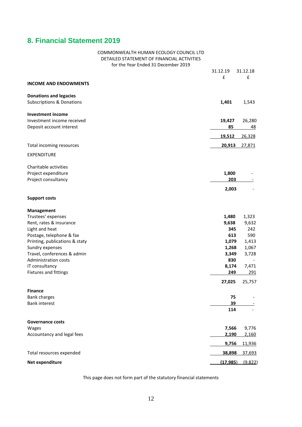### **8. Financial Statement 2019**

### COMMONWEALTH HUMAN ECOLOGY COUNCIL LTD DETAILED STATEMENT OF FINANCIAL ACTIVITIES for the Year Ended 31 December 2019 31.12.19 31.12.18 £ £ **INCOME AND ENDOWMENTS Donations and legacies** Subscriptions & Donations **1,401** 1,543 **Investment income** Investment income received **19,427** 26,280 Deposit account interest **85** 48 **19,512** 26,328 Total incoming resources **20,913** 27,871 EXPENDITURE Charitable activities Project expenditure **1,800** - **1,800** - **1,800** - **1,800** - **1,800** Project consultancy **203** - **203** - **203** - **203** - **203** - **203** - **203** - **203** - **203** - **203** - **203** - **203** - **203** - **203** - **203** - **203** - **203** - **203** - **203** - **203** - **203** - **203** - **203** - **201** - **201** - **2 2,003** - **Support costs Management** Trustees' expenses **1,480** 1,323 Rent, rates & insurance **9,638** 9,632 Light and heat **345** 242 Postage, telephone & fax **613** 590 Printing, publications & staty **1,079** 1,413 Sundry expenses **1,268** 1,067 Travel, conferences & admin **3,349** 3,728 Administration costs **830** - IT consultancy **8,174** 7,471 Fixtures and fittings **249** 291 **27,025** 25,757 **Finance** Bank charges **75** - Bank interest **39** - **114** - **Governance costs** Wages **7,566** 9,776 Accountancy and legal fees **2,190** 2,160  **9,756** 11,936 Total resources expended **38,898** 37,693 **Net expenditure (17,985**) (9,822)

This page does not form part of the statutory financial statements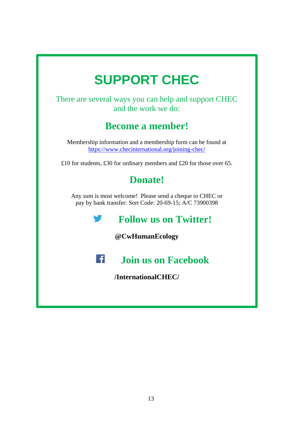# **SUPPORT CHEC**

There are several ways you can help and support CHEC and the work we do:

# **Become a member!**

Membership information and a membership form can be found at <https://www.checinternational.org/joining-chec/>

£10 for students, £30 for ordinary members and £20 for those over 65.

# **Donate!**

Any sum is most welcome! Please send a cheque to CHEC or pay by bank transfer: Sort Code: 20-69-15; A/C 73900398

**Follow us on Twitter!**

**@CwHumanEcology**



# **Join us on Facebook**

**/InternationalCHEC/**